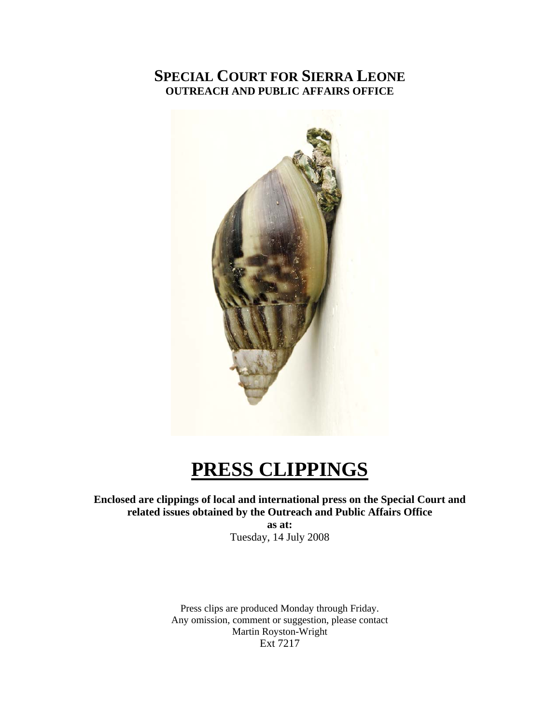# **SPECIAL COURT FOR SIERRA LEONE OUTREACH AND PUBLIC AFFAIRS OFFICE**



# **PRESS CLIPPINGS**

# **Enclosed are clippings of local and international press on the Special Court and related issues obtained by the Outreach and Public Affairs Office**

**as at:**  Tuesday, 14 July 2008

Press clips are produced Monday through Friday. Any omission, comment or suggestion, please contact Martin Royston-Wright Ext 7217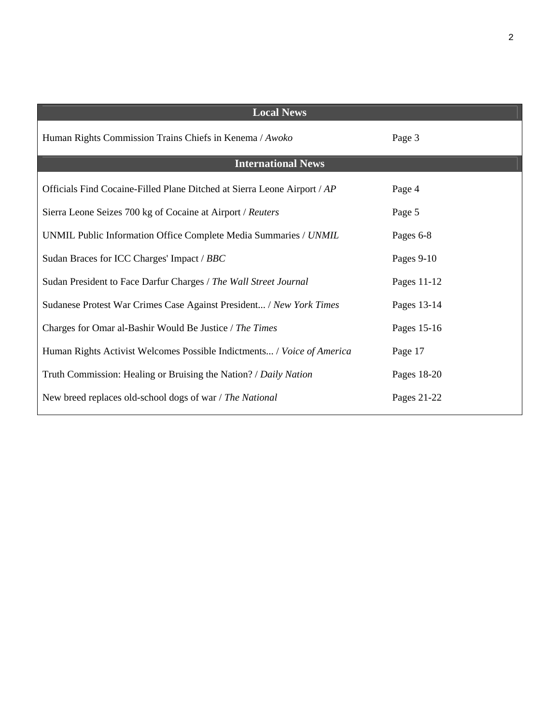| <b>Local News</b>                                                        |             |
|--------------------------------------------------------------------------|-------------|
| Human Rights Commission Trains Chiefs in Kenema / Awoko                  | Page 3      |
| <b>International News</b>                                                |             |
| Officials Find Cocaine-Filled Plane Ditched at Sierra Leone Airport / AP | Page 4      |
| Sierra Leone Seizes 700 kg of Cocaine at Airport / Reuters               | Page 5      |
| UNMIL Public Information Office Complete Media Summaries / UNMIL         | Pages 6-8   |
| Sudan Braces for ICC Charges' Impact / BBC                               | Pages 9-10  |
| Sudan President to Face Darfur Charges / The Wall Street Journal         | Pages 11-12 |
| Sudanese Protest War Crimes Case Against President / New York Times      | Pages 13-14 |
| Charges for Omar al-Bashir Would Be Justice / The Times                  | Pages 15-16 |
| Human Rights Activist Welcomes Possible Indictments / Voice of America   | Page 17     |
| Truth Commission: Healing or Bruising the Nation? / Daily Nation         | Pages 18-20 |
| New breed replaces old-school dogs of war / The National                 | Pages 21-22 |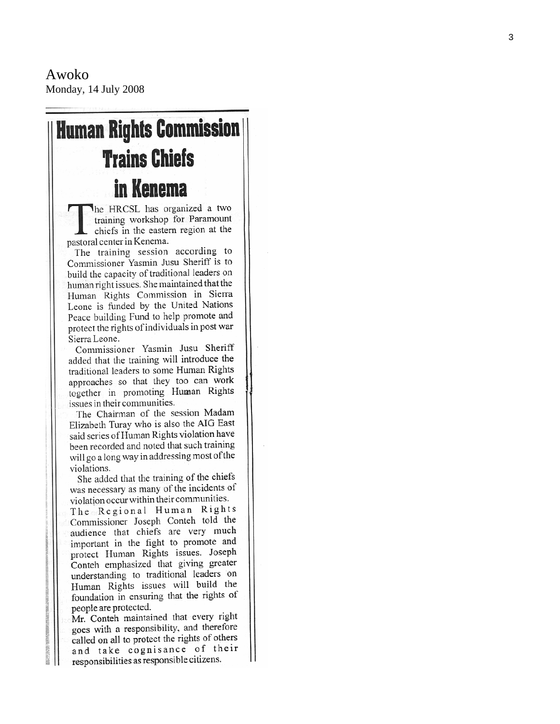Awoko Monday, 14 July 2008

# **Human Rights Commission Trains Chiefs** in Kenema

he HRCSL has organized a two training workshop for Paramount chiefs in the eastern region at the pastoral center in Kenema.

The training session according to Commissioner Yasmin Jusu Sheriff is to build the capacity of traditional leaders on human right issues. She maintained that the Human Rights Commission in Sierra Leone is funded by the United Nations Peace building Fund to help promote and protect the rights of individuals in post war Sierra Leone.

Commissioner Yasmin Jusu Sheriff added that the training will introduce the traditional leaders to some Human Rights approaches so that they too can work together in promoting Human Rights issues in their communities.

The Chairman of the session Madam Elizabeth Turay who is also the AIG East said series of Human Rights violation have been recorded and noted that such training will go a long way in addressing most of the violations.

She added that the training of the chiefs was necessary as many of the incidents of violation occur within their communities.

The Regional Human Rights Commissioner Joseph Conteh told the audience that chiefs are very much important in the fight to promote and protect Human Rights issues. Joseph Conteh emphasized that giving greater understanding to traditional leaders on Human Rights issues will build the foundation in ensuring that the rights of people are protected.

Mr. Conteh maintained that every right goes with a responsibility, and therefore called on all to protect the rights of others and take cognisance of their responsibilities as responsible citizens.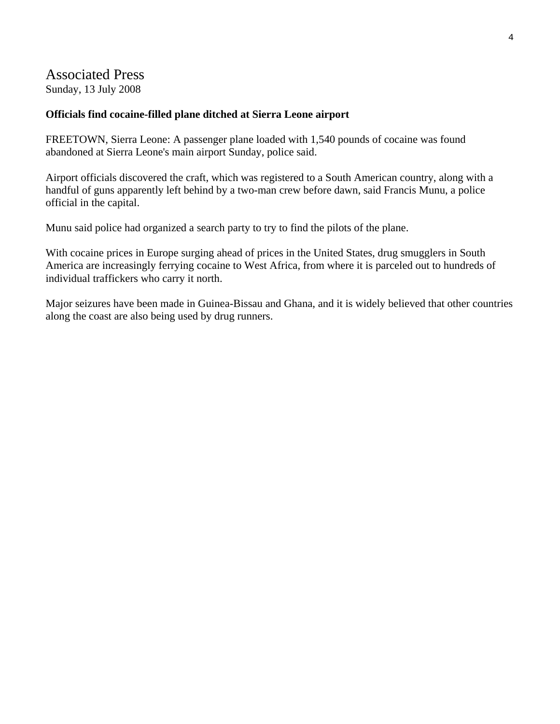# Associated Press

Sunday, 13 July 2008

# **Officials find cocaine-filled plane ditched at Sierra Leone airport**

FREETOWN, Sierra Leone: A passenger plane loaded with 1,540 pounds of cocaine was found abandoned at Sierra Leone's main airport Sunday, police said.

Airport officials discovered the craft, which was registered to a South American country, along with a handful of guns apparently left behind by a two-man crew before dawn, said Francis Munu, a police official in the capital.

Munu said police had organized a search party to try to find the pilots of the plane.

With cocaine prices in Europe surging ahead of prices in the United States, drug smugglers in South America are increasingly ferrying cocaine to West Africa, from where it is parceled out to hundreds of individual traffickers who carry it north.

Major seizures have been made in Guinea-Bissau and Ghana, and it is widely believed that other countries along the coast are also being used by drug runners.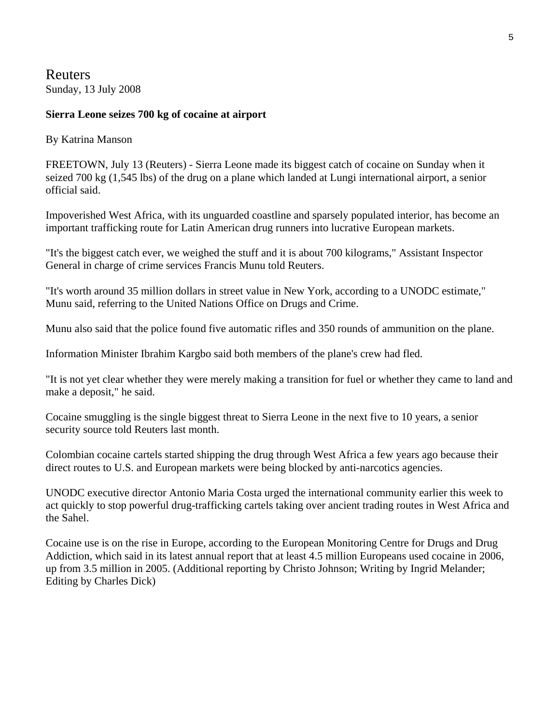Reuters Sunday, 13 July 2008

## **Sierra Leone seizes 700 kg of cocaine at airport**

#### By Katrina Manson

FREETOWN, July 13 (Reuters) - Sierra Leone made its biggest catch of cocaine on Sunday when it seized 700 kg (1,545 lbs) of the drug on a plane which landed at Lungi international airport, a senior official said.

Impoverished West Africa, with its unguarded coastline and sparsely populated interior, has become an important trafficking route for Latin American drug runners into lucrative European markets.

"It's the biggest catch ever, we weighed the stuff and it is about 700 kilograms," Assistant Inspector General in charge of crime services Francis Munu told Reuters.

"It's worth around 35 million dollars in street value in New York, according to a UNODC estimate," Munu said, referring to the United Nations Office on Drugs and Crime.

Munu also said that the police found five automatic rifles and 350 rounds of ammunition on the plane.

Information Minister Ibrahim Kargbo said both members of the plane's crew had fled.

"It is not yet clear whether they were merely making a transition for fuel or whether they came to land and make a deposit," he said.

Cocaine smuggling is the single biggest threat to Sierra Leone in the next five to 10 years, a senior security source told Reuters last month.

Colombian cocaine cartels started shipping the drug through West Africa a few years ago because their direct routes to U.S. and European markets were being blocked by anti-narcotics agencies.

UNODC executive director Antonio Maria Costa urged the international community earlier this week to act quickly to stop powerful drug-trafficking cartels taking over ancient trading routes in West Africa and the Sahel.

Cocaine use is on the rise in Europe, according to the European Monitoring Centre for Drugs and Drug Addiction, which said in its latest annual report that at least 4.5 million Europeans used cocaine in 2006, up from 3.5 million in 2005. (Additional reporting by Christo Johnson; Writing by Ingrid Melander; Editing by Charles Dick)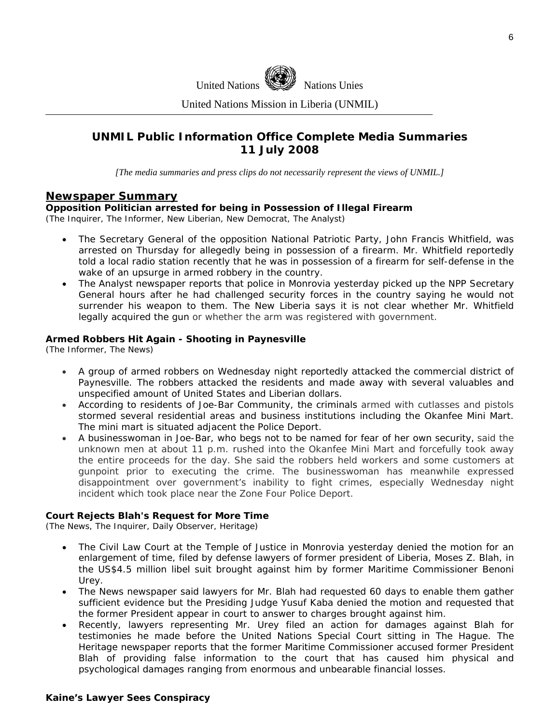

United Nations Mission in Liberia (UNMIL)

# **UNMIL Public Information Office Complete Media Summaries 11 July 2008**

*[The media summaries and press clips do not necessarily represent the views of UNMIL.]* 

#### **Newspaper Summary**

#### **Opposition Politician arrested for being in Possession of Illegal Firearm**

(The Inquirer, The Informer, New Liberian, New Democrat, The Analyst)

- The Secretary General of the opposition National Patriotic Party, John Francis Whitfield, was arrested on Thursday for allegedly being in possession of a firearm. Mr. Whitfield reportedly told a local radio station recently that he was in possession of a firearm for self-defense in the wake of an upsurge in armed robbery in the country.
- The Analyst newspaper reports that police in Monrovia yesterday picked up the NPP Secretary General hours after he had challenged security forces in the country saying he would not surrender his weapon to them. The New Liberia says it is not clear whether Mr. Whitfield legally acquired the gun or whether the arm was registered with government.

#### **Armed Robbers Hit Again - Shooting in Paynesville**

(The Informer, The News)

- A group of armed robbers on Wednesday night reportedly attacked the commercial district of Paynesville. The robbers attacked the residents and made away with several valuables and unspecified amount of United States and Liberian dollars.
- According to residents of Joe-Bar Community, the criminals armed with cutlasses and pistols stormed several residential areas and business institutions including the Okanfee Mini Mart. The mini mart is situated adjacent the Police Deport.
- A businesswoman in Joe-Bar, who begs not to be named for fear of her own security, said the unknown men at about 11 p.m. rushed into the Okanfee Mini Mart and forcefully took away the entire proceeds for the day. She said the robbers held workers and some customers at gunpoint prior to executing the crime. The businesswoman has meanwhile expressed disappointment over government's inability to fight crimes, especially Wednesday night incident which took place near the Zone Four Police Deport.

#### **Court Rejects Blah's Request for More Time**

(The News, The Inquirer, Daily Observer, Heritage)

- The Civil Law Court at the Temple of Justice in Monrovia yesterday denied the motion for an enlargement of time, filed by defense lawyers of former president of Liberia, Moses Z. Blah, in the US\$4.5 million libel suit brought against him by former Maritime Commissioner Benoni Urey.
- The News newspaper said lawyers for Mr. Blah had requested 60 days to enable them gather sufficient evidence but the Presiding Judge Yusuf Kaba denied the motion and requested that the former President appear in court to answer to charges brought against him.
- Recently, lawyers representing Mr. Urey filed an action for damages against Blah for testimonies he made before the United Nations Special Court sitting in The Hague. The Heritage newspaper reports that the former Maritime Commissioner accused former President Blah of providing false information to the court that has caused him physical and psychological damages ranging from enormous and unbearable financial losses.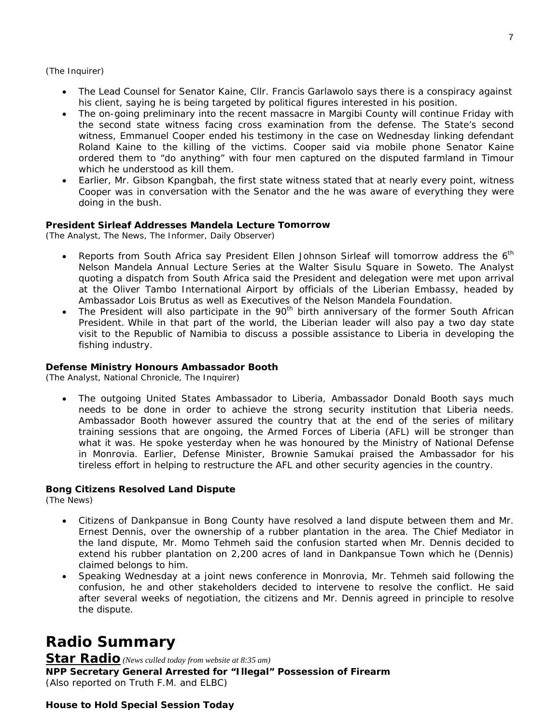(The Inquirer)

- The Lead Counsel for Senator Kaine, Cllr. Francis Garlawolo says there is a conspiracy against his client, saying he is being targeted by political figures interested in his position.
- ordered them to "do anything" with four men captured on the disputed farmland in Timour • The on-going preliminary into the recent massacre in Margibi County will continue Friday with the second state witness facing cross examination from the defense. The State's second witness, Emmanuel Cooper ended his testimony in the case on Wednesday linking defendant Roland Kaine to the killing of the victims. Cooper said via mobile phone Senator Kaine which he understood as kill them.
- Cooper was in conversation with the Senator and the he was aware of everything they were doing in the bush. • Earlier, Mr. Gibson Kpangbah, the first state witness stated that at nearly every point, witness

#### President Sirleaf Addresses Mandela Lecture Tomorrow

(The Analyst, The News, The Informer, Daily Observer)

- at the Oliver Tambo International Airport by officials of the Liberian Embassy, headed by • Reports from South Africa say President Ellen Johnson Sirleaf will tomorrow address the  $6<sup>th</sup>$ Nelson Mandela Annual Lecture Series at the Walter Sisulu Square in Soweto. The Analyst quoting a dispatch from South Africa said the President and delegation were met upon arrival Ambassador Lois Brutus as well as Executives of the Nelson Mandela Foundation.
- visit to the Republic of Namibia to discuss a possible assistance to Liberia in developing the fishing industry. • The President will also participate in the  $90<sup>th</sup>$  birth anniversary of the former South African President. While in that part of the world, the Liberian leader will also pay a two day state

#### **Defense Ministry Honours Ambassador Booth**

(The Analyst, National Chronicle, The Inquirer)

in Monrovia. Earlier, Defense Minister, Brownie Samukai praised the Ambassador for his tireless effort in helping to restructure the AFL and other security agencies in the country. • The outgoing United States Ambassador to Liberia, Ambassador Donald Booth says much needs to be done in order to achieve the strong security institution that Liberia needs. Ambassador Booth however assured the country that at the end of the series of military training sessions that are ongoing, the Armed Forces of Liberia (AFL) will be stronger than what it was. He spoke yesterday when he was honoured by the Ministry of National Defense

#### **Bong Citizens Resolved Land Dispute**

(The News)

- extend his rubber plantation on 2,200 acres of land in Dankpansue Town which he (Dennis) • Citizens of Dankpansue in Bong County have resolved a land dispute between them and Mr. Ernest Dennis, over the ownership of a rubber plantation in the area. The Chief Mediator in the land dispute, Mr. Momo Tehmeh said the confusion started when Mr. Dennis decided to claimed belongs to him.
- after several weeks of negotiation, the citizens and Mr. Dennis agreed in principle to resolve the dispute. • Speaking Wednesday at a joint news conference in Monrovia, Mr. Tehmeh said following the confusion, he and other stakeholders decided to intervene to resolve the conflict. He said

# **Radio Summary**

**Star Radio** *(News culled today from website at 8:35 am)*  **NPP Secretary General Arrested for "Illegal" Possession of Firearm**  *(Also reported on Truth F.M. and ELBC)* 

#### **House to Hold Special Session Today**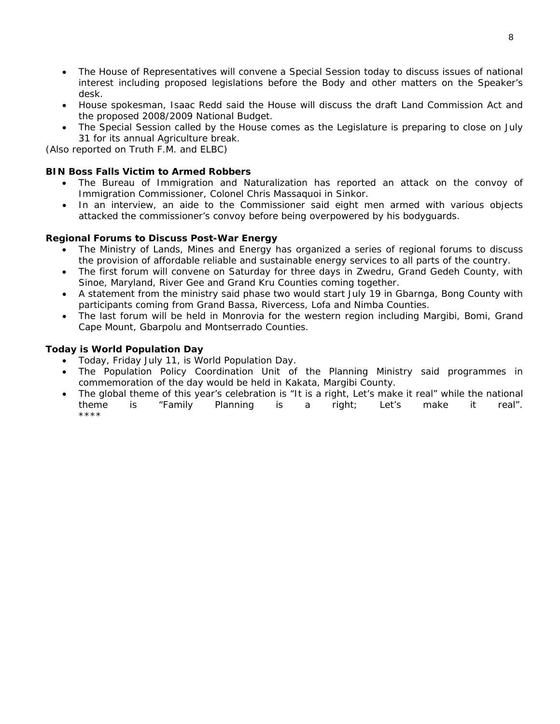- The House of Representatives will convene a Special Session today to discuss issues of national interest including proposed legislations before the Body and other matters on the Speaker's desk.
- House spokesman, Isaac Redd said the House will discuss the draft Land Commission Act and the proposed 2008/2009 National Budget.
- The Special Session called by the House comes as the Legislature is preparing to close on July . 31 for its annual Agriculture break

*(Also reported on Truth F.M. and ELBC)* 

#### **BIN Boss Falls Victim to Armed Robbers**

- The Bureau of Immigration and Naturalization has reported an attack on the convoy of Immigration Commissioner, Colonel Chris Massaquoi in Sinkor.
- In an interview, an aide to the Commissioner said eight men armed with various objects attacked the commissioner's convoy before being overpowered by his bodyguards.

#### **Regional Forums to Discuss Post-War Energy**

- The Ministry of Lands, Mines and Energy has organized a series of regional forums to discuss the provision of affordable reliable and sustainable energy services to all parts of the country.
- The first forum will convene on Saturday for three days in Zwedru, Grand Gedeh County, with Sinoe, Maryland, River Gee and Grand Kru Counties coming together.
- A statement from the ministry said phase two would start July 19 in Gbarnga, Bong County with participants coming from Grand Bassa, Rivercess, Lofa and Nimba Counties.
- The last forum will be held in Monrovia for the western region including Margibi, Bomi, Grand Cape Mount, Gbarpolu and Montserrado Counties.

#### **Today is World Population Day**

- Today, Friday July 11, is World Population Day.
- The Population Policy Coordination Unit of the Planning Ministry said programmes in commemoration of the day would be held in Kakata, Margibi County.
- The global theme of this year's celebration is "It is a right, Let's make it real" while the national theme is "Family Planning is a right; Let's make it real". \*\*\*\*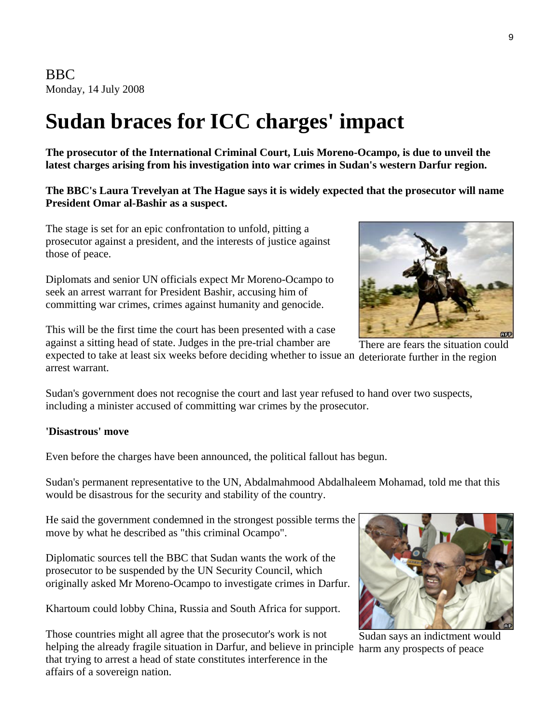BBC Monday, 14 July 2008

# **Sudan braces for ICC charges' impact**

**The prosecutor of the International Criminal Court, Luis Moreno-Ocampo, is due to unveil the latest charges arising from his investigation into war crimes in Sudan's western Darfur region.** 

**The BBC's Laura Trevelyan at The Hague says it is widely expected that the prosecutor will name President Omar al-Bashir as a suspect.**

The stage is set for an epic confrontation to unfold, pitting a prosecutor against a president, and the interests of justice against those of peace.

Diplomats and senior UN officials expect Mr Moreno-Ocampo to seek an arrest warrant for President Bashir, accusing him of committing war crimes, crimes against humanity and genocide.

This will be the first time the court has been presented with a case against a sitting head of state. Judges in the pre-trial chamber are

expected to take at least six weeks before deciding whether to issue an deteriorate further in the region arrest warrant.

Sudan's government does not recognise the court and last year refused to hand over two suspects, including a minister accused of committing war crimes by the prosecutor.

## **'Disastrous' move**

Even before the charges have been announced, the political fallout has begun.

Sudan's permanent representative to the UN, Abdalmahmood Abdalhaleem Mohamad, told me that this would be disastrous for the security and stability of the country.

He said the government condemned in the strongest possible terms the move by what he described as "this criminal Ocampo".

Diplomatic sources tell the BBC that Sudan wants the work of the prosecutor to be suspended by the UN Security Council, which originally asked Mr Moreno-Ocampo to investigate crimes in Darfur.

Khartoum could lobby China, Russia and South Africa for support.

helping the already fragile situation in Darfur, and believe in principle harm any prospects of peace Those countries might all agree that the prosecutor's work is not that trying to arrest a head of state constitutes interference in the affairs of a sovereign nation.

There are fears the situation could



Sudan says an indictment would

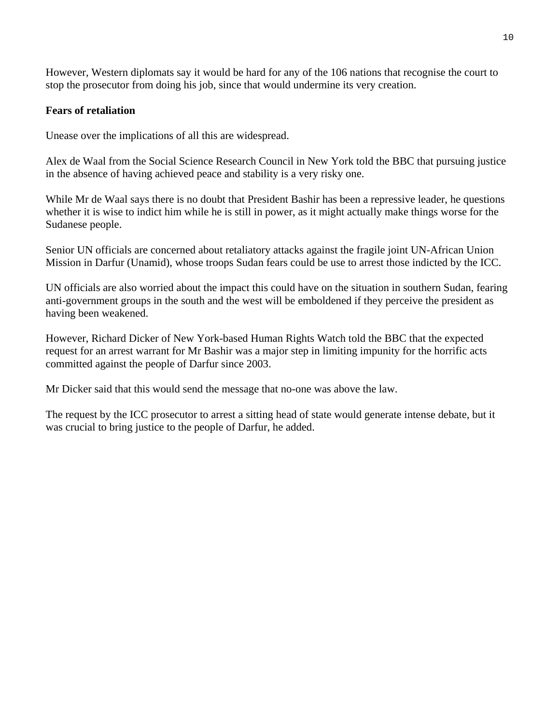However, Western diplomats say it would be hard for any of the 106 nations that recognise the court to stop the prosecutor from doing his job, since that would undermine its very creation.

# **Fears of retaliation**

Unease over the implications of all this are widespread.

Alex de Waal from the Social Science Research Council in New York told the BBC that pursuing justice in the absence of having achieved peace and stability is a very risky one.

While Mr de Waal says there is no doubt that President Bashir has been a repressive leader, he questions whether it is wise to indict him while he is still in power, as it might actually make things worse for the Sudanese people.

Senior UN officials are concerned about retaliatory attacks against the fragile joint UN-African Union Mission in Darfur (Unamid), whose troops Sudan fears could be use to arrest those indicted by the ICC.

UN officials are also worried about the impact this could have on the situation in southern Sudan, fearing anti-government groups in the south and the west will be emboldened if they perceive the president as having been weakened.

However, Richard Dicker of New York-based Human Rights Watch told the BBC that the expected request for an arrest warrant for Mr Bashir was a major step in limiting impunity for the horrific acts committed against the people of Darfur since 2003.

Mr Dicker said that this would send the message that no-one was above the law.

The request by the ICC prosecutor to arrest a sitting head of state would generate intense debate, but it was crucial to bring justice to the people of Darfur, he added.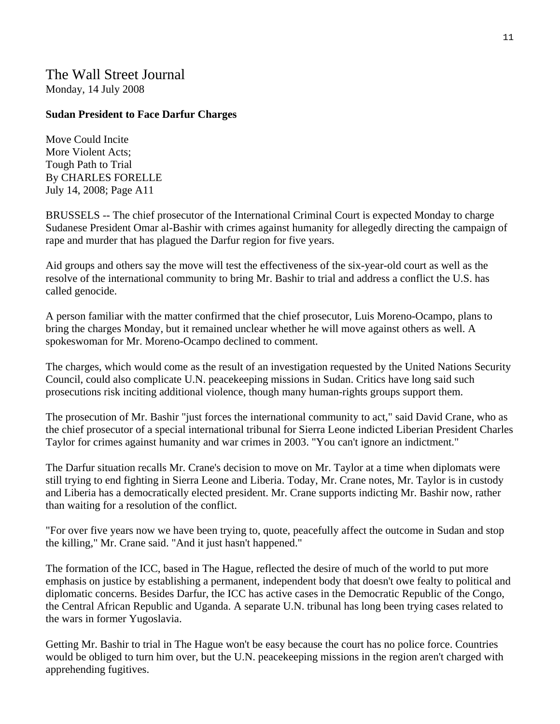# The Wall Street Journal Monday, 14 July 2008

## **Sudan President to Face Darfur Charges**

Move Could Incite More Violent Acts; Tough Path to Trial By CHARLES FORELLE July 14, 2008; Page A11

BRUSSELS -- The chief prosecutor of the International Criminal Court is expected Monday to charge Sudanese President Omar al-Bashir with crimes against humanity for allegedly directing the campaign of rape and murder that has plagued the Darfur region for five years.

Aid groups and others say the move will test the effectiveness of the six-year-old court as well as the resolve of the international community to bring Mr. Bashir to trial and address a conflict the U.S. has called genocide.

A person familiar with the matter confirmed that the chief prosecutor, Luis Moreno-Ocampo, plans to bring the charges Monday, but it remained unclear whether he will move against others as well. A spokeswoman for Mr. Moreno-Ocampo declined to comment.

The charges, which would come as the result of an investigation requested by the United Nations Security Council, could also complicate U.N. peacekeeping missions in Sudan. Critics have long said such prosecutions risk inciting additional violence, though many human-rights groups support them.

The prosecution of Mr. Bashir "just forces the international community to act," said David Crane, who as the chief prosecutor of a special international tribunal for Sierra Leone indicted Liberian President Charles Taylor for crimes against humanity and war crimes in 2003. "You can't ignore an indictment."

The Darfur situation recalls Mr. Crane's decision to move on Mr. Taylor at a time when diplomats were still trying to end fighting in Sierra Leone and Liberia. Today, Mr. Crane notes, Mr. Taylor is in custody and Liberia has a democratically elected president. Mr. Crane supports indicting Mr. Bashir now, rather than waiting for a resolution of the conflict.

"For over five years now we have been trying to, quote, peacefully affect the outcome in Sudan and stop the killing," Mr. Crane said. "And it just hasn't happened."

The formation of the ICC, based in The Hague, reflected the desire of much of the world to put more emphasis on justice by establishing a permanent, independent body that doesn't owe fealty to political and diplomatic concerns. Besides Darfur, the ICC has active cases in the Democratic Republic of the Congo, the Central African Republic and Uganda. A separate U.N. tribunal has long been trying cases related to the wars in former Yugoslavia.

Getting Mr. Bashir to trial in The Hague won't be easy because the court has no police force. Countries would be obliged to turn him over, but the U.N. peacekeeping missions in the region aren't charged with apprehending fugitives.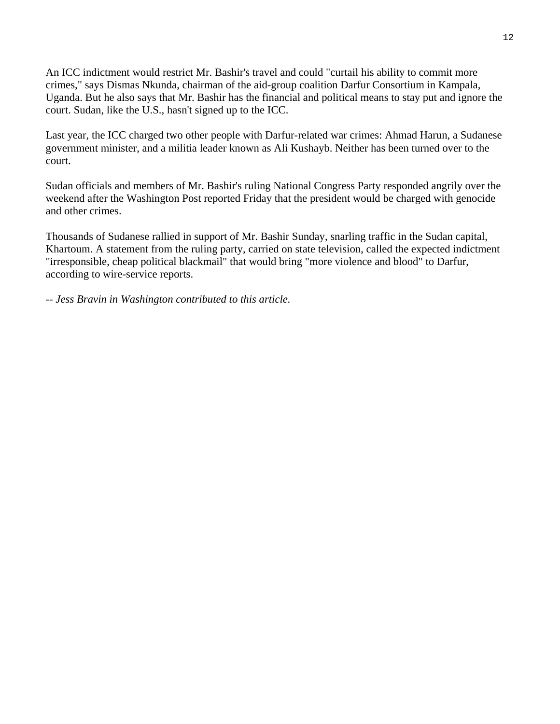An ICC indictment would restrict Mr. Bashir's travel and could "curtail his ability to commit more crimes," says Dismas Nkunda, chairman of the aid-group coalition Darfur Consortium in Kampala, Uganda. But he also says that Mr. Bashir has the financial and political means to stay put and ignore the court. Sudan, like the U.S., hasn't signed up to the ICC.

Last year, the ICC charged two other people with Darfur-related war crimes: Ahmad Harun, a Sudanese government minister, and a militia leader known as Ali Kushayb. Neither has been turned over to the court.

Sudan officials and members of Mr. Bashir's ruling National Congress Party responded angrily over the weekend after the Washington Post reported Friday that the president would be charged with genocide and other crimes.

Thousands of Sudanese rallied in support of Mr. Bashir Sunday, snarling traffic in the Sudan capital, Khartoum. A statement from the ruling party, carried on state television, called the expected indictment "irresponsible, cheap political blackmail" that would bring "more violence and blood" to Darfur, according to wire-service reports.

*-- Jess Bravin in Washington contributed to this article.*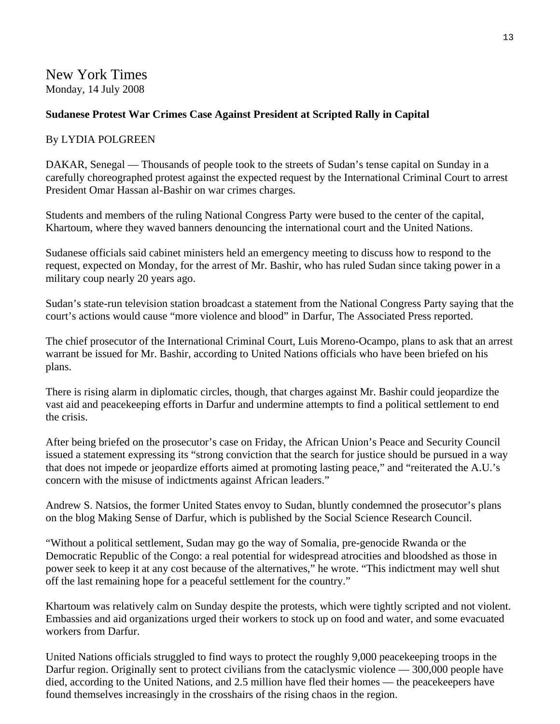# **Sudanese Protest War Crimes Case Against President at Scripted Rally in Capital**

# By LYDIA POLGREEN

DAKAR, Senegal — Thousands of people took to the streets of Sudan's tense capital on Sunday in a carefully choreographed protest against the expected request by the International Criminal Court to arrest President Omar Hassan al-Bashir on war crimes charges.

Students and members of the ruling National Congress Party were bused to the center of the capital, Khartoum, where they waved banners denouncing the international court and the United Nations.

Sudanese officials said cabinet ministers held an emergency meeting to discuss how to respond to the request, expected on Monday, for the arrest of Mr. Bashir, who has ruled Sudan since taking power in a military coup nearly 20 years ago.

Sudan's state-run television station broadcast a statement from the National Congress Party saying that the court's actions would cause "more violence and blood" in Darfur, The Associated Press reported.

The chief prosecutor of the International Criminal Court, Luis Moreno-Ocampo, plans to ask that an arrest warrant be issued for Mr. Bashir, according to United Nations officials who have been briefed on his plans.

There is rising alarm in diplomatic circles, though, that charges against Mr. Bashir could jeopardize the vast aid and peacekeeping efforts in Darfur and undermine attempts to find a political settlement to end the crisis.

After being briefed on the prosecutor's case on Friday, the African Union's Peace and Security Council issued a statement expressing its "strong conviction that the search for justice should be pursued in a way that does not impede or jeopardize efforts aimed at promoting lasting peace," and "reiterated the A.U.'s concern with the misuse of indictments against African leaders."

Andrew S. Natsios, the former United States envoy to Sudan, bluntly condemned the prosecutor's plans on the blog Making Sense of Darfur, which is published by the Social Science Research Council.

"Without a political settlement, Sudan may go the way of Somalia, pre-genocide Rwanda or the Democratic Republic of the Congo: a real potential for widespread atrocities and bloodshed as those in power seek to keep it at any cost because of the alternatives," he wrote. "This indictment may well shut off the last remaining hope for a peaceful settlement for the country."

Khartoum was relatively calm on Sunday despite the protests, which were tightly scripted and not violent. Embassies and aid organizations urged their workers to stock up on food and water, and some evacuated workers from Darfur.

United Nations officials struggled to find ways to protect the roughly 9,000 peacekeeping troops in the Darfur region. Originally sent to protect civilians from the cataclysmic violence — 300,000 people have died, according to the United Nations, and 2.5 million have fled their homes — the peacekeepers have found themselves increasingly in the crosshairs of the rising chaos in the region.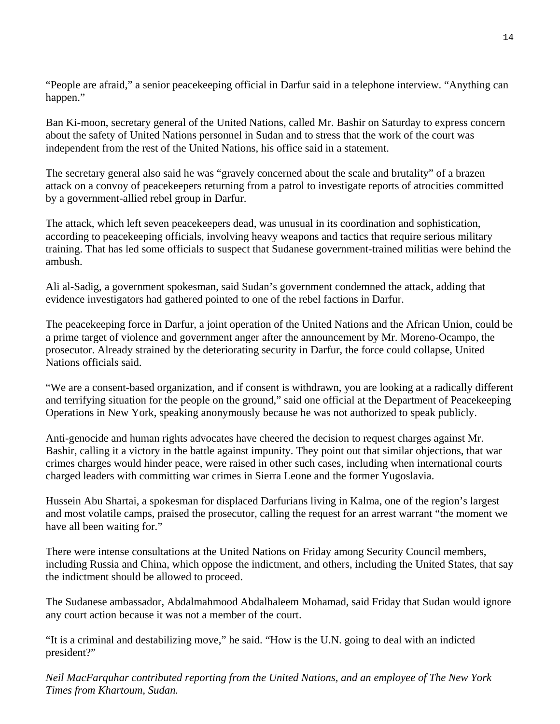"People are afraid," a senior peacekeeping official in Darfur said in a telephone interview. "Anything can happen."

Ban Ki-moon, secretary general of the United Nations, called Mr. Bashir on Saturday to express concern about the safety of United Nations personnel in Sudan and to stress that the work of the court was independent from the rest of the United Nations, his office said in a statement.

The secretary general also said he was "gravely concerned about the scale and brutality" of a brazen attack on a convoy of peacekeepers returning from a patrol to investigate reports of atrocities committed by a government-allied rebel group in Darfur.

The attack, which left seven peacekeepers dead, was unusual in its coordination and sophistication, according to peacekeeping officials, involving heavy weapons and tactics that require serious military training. That has led some officials to suspect that Sudanese government-trained militias were behind the ambush.

Ali al-Sadig, a government spokesman, said Sudan's government condemned the attack, adding that evidence investigators had gathered pointed to one of the rebel factions in Darfur.

The peacekeeping force in Darfur, a joint operation of the United Nations and the African Union, could be a prime target of violence and government anger after the announcement by Mr. Moreno-Ocampo, the prosecutor. Already strained by the deteriorating security in Darfur, the force could collapse, United Nations officials said.

"We are a consent-based organization, and if consent is withdrawn, you are looking at a radically different and terrifying situation for the people on the ground," said one official at the Department of Peacekeeping Operations in New York, speaking anonymously because he was not authorized to speak publicly.

Anti-genocide and human rights advocates have cheered the decision to request charges against Mr. Bashir, calling it a victory in the battle against impunity. They point out that similar objections, that war crimes charges would hinder peace, were raised in other such cases, including when international courts charged leaders with committing war crimes in Sierra Leone and the former Yugoslavia.

Hussein Abu Shartai, a spokesman for displaced Darfurians living in Kalma, one of the region's largest and most volatile camps, praised the prosecutor, calling the request for an arrest warrant "the moment we have all been waiting for."

There were intense consultations at the United Nations on Friday among Security Council members, including Russia and China, which oppose the indictment, and others, including the United States, that say the indictment should be allowed to proceed.

The Sudanese ambassador, Abdalmahmood Abdalhaleem Mohamad, said Friday that Sudan would ignore any court action because it was not a member of the court.

"It is a criminal and destabilizing move," he said. "How is the U.N. going to deal with an indicted president?"

*Neil MacFarquhar contributed reporting from the United Nations, and an employee of The New York Times from Khartoum, Sudan.*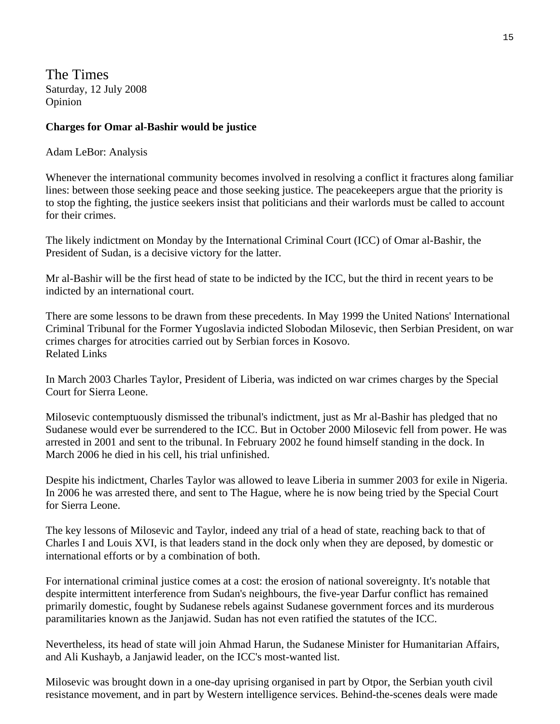The Times Saturday, 12 July 2008 Opinion

#### **Charges for Omar al-Bashir would be justice**

Adam LeBor: Analysis

Whenever the international community becomes involved in resolving a conflict it fractures along familiar lines: between those seeking peace and those seeking justice. The peacekeepers argue that the priority is to stop the fighting, the justice seekers insist that politicians and their warlords must be called to account for their crimes.

The likely indictment on Monday by the International Criminal Court (ICC) of Omar al-Bashir, the President of Sudan, is a decisive victory for the latter.

Mr al-Bashir will be the first head of state to be indicted by the ICC, but the third in recent years to be indicted by an international court.

There are some lessons to be drawn from these precedents. In May 1999 the United Nations' International Criminal Tribunal for the Former Yugoslavia indicted Slobodan Milosevic, then Serbian President, on war crimes charges for atrocities carried out by Serbian forces in Kosovo. Related Links

In March 2003 Charles Taylor, President of Liberia, was indicted on war crimes charges by the Special Court for Sierra Leone.

Milosevic contemptuously dismissed the tribunal's indictment, just as Mr al-Bashir has pledged that no Sudanese would ever be surrendered to the ICC. But in October 2000 Milosevic fell from power. He was arrested in 2001 and sent to the tribunal. In February 2002 he found himself standing in the dock. In March 2006 he died in his cell, his trial unfinished.

Despite his indictment, Charles Taylor was allowed to leave Liberia in summer 2003 for exile in Nigeria. In 2006 he was arrested there, and sent to The Hague, where he is now being tried by the Special Court for Sierra Leone.

The key lessons of Milosevic and Taylor, indeed any trial of a head of state, reaching back to that of Charles I and Louis XVI, is that leaders stand in the dock only when they are deposed, by domestic or international efforts or by a combination of both.

For international criminal justice comes at a cost: the erosion of national sovereignty. It's notable that despite intermittent interference from Sudan's neighbours, the five-year Darfur conflict has remained primarily domestic, fought by Sudanese rebels against Sudanese government forces and its murderous paramilitaries known as the Janjawid. Sudan has not even ratified the statutes of the ICC.

Nevertheless, its head of state will join Ahmad Harun, the Sudanese Minister for Humanitarian Affairs, and Ali Kushayb, a Janjawid leader, on the ICC's most-wanted list.

Milosevic was brought down in a one-day uprising organised in part by Otpor, the Serbian youth civil resistance movement, and in part by Western intelligence services. Behind-the-scenes deals were made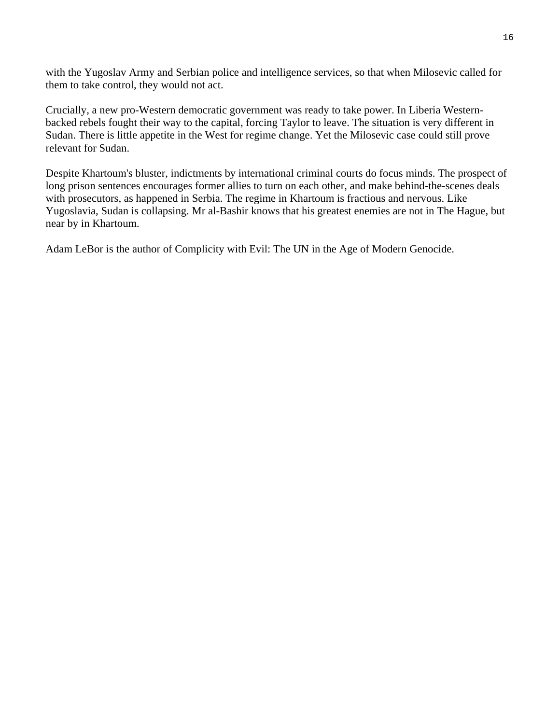with the Yugoslav Army and Serbian police and intelligence services, so that when Milosevic called for them to take control, they would not act.

Crucially, a new pro-Western democratic government was ready to take power. In Liberia Westernbacked rebels fought their way to the capital, forcing Taylor to leave. The situation is very different in Sudan. There is little appetite in the West for regime change. Yet the Milosevic case could still prove relevant for Sudan.

Despite Khartoum's bluster, indictments by international criminal courts do focus minds. The prospect of long prison sentences encourages former allies to turn on each other, and make behind-the-scenes deals with prosecutors, as happened in Serbia. The regime in Khartoum is fractious and nervous. Like Yugoslavia, Sudan is collapsing. Mr al-Bashir knows that his greatest enemies are not in The Hague, but near by in Khartoum.

Adam LeBor is the author of Complicity with Evil: The UN in the Age of Modern Genocide.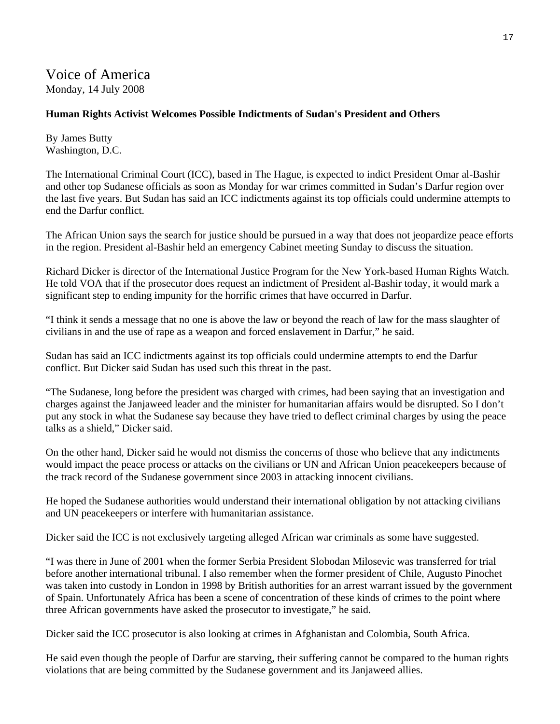Voice of America Monday, 14 July 2008

# **Human Rights Activist Welcomes Possible Indictments of Sudan's President and Others**

By James Butty Washington, D.C.

The International Criminal Court (ICC), based in The Hague, is expected to indict President Omar al-Bashir and other top Sudanese officials as soon as Monday for war crimes committed in Sudan's Darfur region over the last five years. But Sudan has said an ICC indictments against its top officials could undermine attempts to end the Darfur conflict.

The African Union says the search for justice should be pursued in a way that does not jeopardize peace efforts in the region. President al-Bashir held an emergency Cabinet meeting Sunday to discuss the situation.

Richard Dicker is director of the International Justice Program for the New York-based Human Rights Watch. He told VOA that if the prosecutor does request an indictment of President al-Bashir today, it would mark a significant step to ending impunity for the horrific crimes that have occurred in Darfur.

"I think it sends a message that no one is above the law or beyond the reach of law for the mass slaughter of civilians in and the use of rape as a weapon and forced enslavement in Darfur," he said.

Sudan has said an ICC indictments against its top officials could undermine attempts to end the Darfur conflict. But Dicker said Sudan has used such this threat in the past.

"The Sudanese, long before the president was charged with crimes, had been saying that an investigation and charges against the Janjaweed leader and the minister for humanitarian affairs would be disrupted. So I don't put any stock in what the Sudanese say because they have tried to deflect criminal charges by using the peace talks as a shield," Dicker said.

On the other hand, Dicker said he would not dismiss the concerns of those who believe that any indictments would impact the peace process or attacks on the civilians or UN and African Union peacekeepers because of the track record of the Sudanese government since 2003 in attacking innocent civilians.

He hoped the Sudanese authorities would understand their international obligation by not attacking civilians and UN peacekeepers or interfere with humanitarian assistance.

Dicker said the ICC is not exclusively targeting alleged African war criminals as some have suggested.

"I was there in June of 2001 when the former Serbia President Slobodan Milosevic was transferred for trial before another international tribunal. I also remember when the former president of Chile, Augusto Pinochet was taken into custody in London in 1998 by British authorities for an arrest warrant issued by the government of Spain. Unfortunately Africa has been a scene of concentration of these kinds of crimes to the point where three African governments have asked the prosecutor to investigate," he said.

Dicker said the ICC prosecutor is also looking at crimes in Afghanistan and Colombia, South Africa.

He said even though the people of Darfur are starving, their suffering cannot be compared to the human rights violations that are being committed by the Sudanese government and its Janjaweed allies.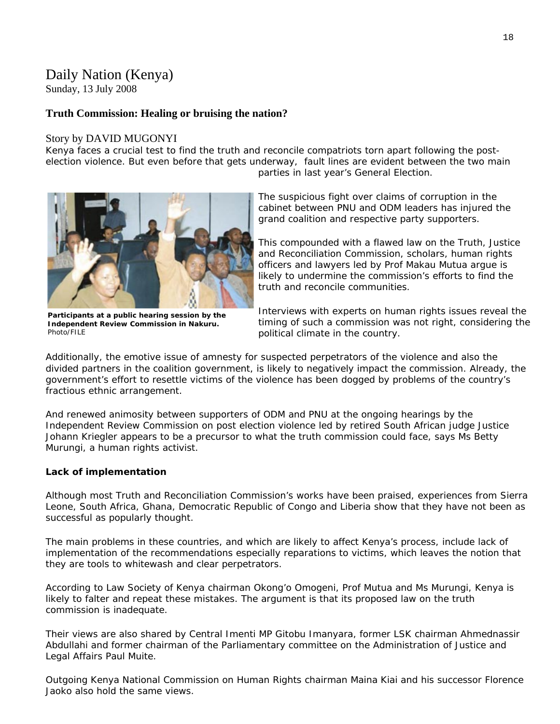# Daily Nation (Kenya)

Sunday, 13 July 2008

# **Truth Commission: Healing or bruising the nation?**

#### Story by DAVID MUGONYI

Kenya faces a crucial test to find the truth and reconcile compatriots torn apart following the postelection violence. But even before that gets underway, fault lines are evident between the two main parties in last year's General Election.



The suspicious fight over claims of corruption in the cabinet between PNU and ODM leaders has injured the grand coalition and respective party supporters.

This compounded with a flawed law on the Truth, Justice and Reconciliation Commission, scholars, human rights officers and lawyers led by Prof Makau Mutua argue is likely to undermine the commission's efforts to find the truth and reconcile communities.

**Participants at a public hearing session by the Independent Review Commission in Nakuru.**  Photo/FILE

Interviews with experts on human rights issues reveal the timing of such a commission was not right, considering the political climate in the country.

Additionally, the emotive issue of amnesty for suspected perpetrators of the violence and also the divided partners in the coalition government, is likely to negatively impact the commission. Already, the government's effort to resettle victims of the violence has been dogged by problems of the country's fractious ethnic arrangement.

And renewed animosity between supporters of ODM and PNU at the ongoing hearings by the Independent Review Commission on post election violence led by retired South African judge Justice Johann Kriegler appears to be a precursor to what the truth commission could face, says Ms Betty Murungi, a human rights activist.

## **Lack of implementation**

Although most Truth and Reconciliation Commission's works have been praised, experiences from Sierra Leone, South Africa, Ghana, Democratic Republic of Congo and Liberia show that they have not been as successful as popularly thought.

The main problems in these countries, and which are likely to affect Kenya's process, include lack of implementation of the recommendations especially reparations to victims, which leaves the notion that they are tools to whitewash and clear perpetrators.

According to Law Society of Kenya chairman Okong'o Omogeni, Prof Mutua and Ms Murungi, Kenya is likely to falter and repeat these mistakes. The argument is that its proposed law on the truth commission is inadequate.

Their views are also shared by Central Imenti MP Gitobu Imanyara, former LSK chairman Ahmednassir Abdullahi and former chairman of the Parliamentary committee on the Administration of Justice and Legal Affairs Paul Muite.

Outgoing Kenya National Commission on Human Rights chairman Maina Kiai and his successor Florence Jaoko also hold the same views.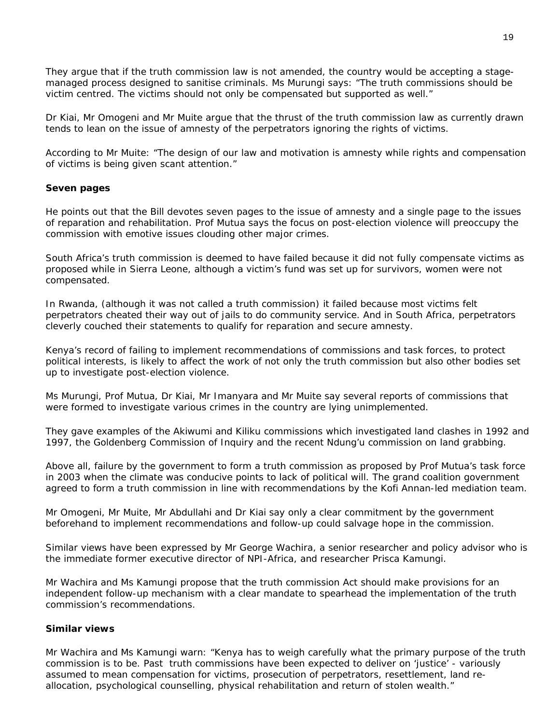They argue that if the truth commission law is not amended, the country would be accepting a stagemanaged process designed to sanitise criminals. Ms Murungi says: "The truth commissions should be victim centred. The victims should not only be compensated but supported as well."

Dr Kiai, Mr Omogeni and Mr Muite argue that the thrust of the truth commission law as currently drawn tends to lean on the issue of amnesty of the perpetrators ignoring the rights of victims.

According to Mr Muite: "The design of our law and motivation is amnesty while rights and compensation of victims is being given scant attention."

#### **Seven pages**

He points out that the Bill devotes seven pages to the issue of amnesty and a single page to the issues of reparation and rehabilitation. Prof Mutua says the focus on post-election violence will preoccupy the commission with emotive issues clouding other major crimes.

South Africa's truth commission is deemed to have failed because it did not fully compensate victims as proposed while in Sierra Leone, although a victim's fund was set up for survivors, women were not compensated.

In Rwanda, (although it was not called a truth commission) it failed because most victims felt perpetrators cheated their way out of jails to do community service. And in South Africa, perpetrators cleverly couched their statements to qualify for reparation and secure amnesty.

Kenya's record of failing to implement recommendations of commissions and task forces, to protect political interests, is likely to affect the work of not only the truth commission but also other bodies set up to investigate post-election violence.

Ms Murungi, Prof Mutua, Dr Kiai, Mr Imanyara and Mr Muite say several reports of commissions that were formed to investigate various crimes in the country are lying unimplemented.

They gave examples of the Akiwumi and Kiliku commissions which investigated land clashes in 1992 and 1997, the Goldenberg Commission of Inquiry and the recent Ndung'u commission on land grabbing.

Above all, failure by the government to form a truth commission as proposed by Prof Mutua's task force in 2003 when the climate was conducive points to lack of political will. The grand coalition government agreed to form a truth commission in line with recommendations by the Kofi Annan-led mediation team.

Mr Omogeni, Mr Muite, Mr Abdullahi and Dr Kiai say only a clear commitment by the government beforehand to implement recommendations and follow-up could salvage hope in the commission.

Similar views have been expressed by Mr George Wachira, a senior researcher and policy advisor who is the immediate former executive director of NPI-Africa, and researcher Prisca Kamungi.

Mr Wachira and Ms Kamungi propose that the truth commission Act should make provisions for an independent follow-up mechanism with a clear mandate to spearhead the implementation of the truth commission's recommendations.

#### **Similar views**

Mr Wachira and Ms Kamungi warn: "Kenya has to weigh carefully what the primary purpose of the truth commission is to be. Past truth commissions have been expected to deliver on 'justice' - variously assumed to mean compensation for victims, prosecution of perpetrators, resettlement, land reallocation, psychological counselling, physical rehabilitation and return of stolen wealth."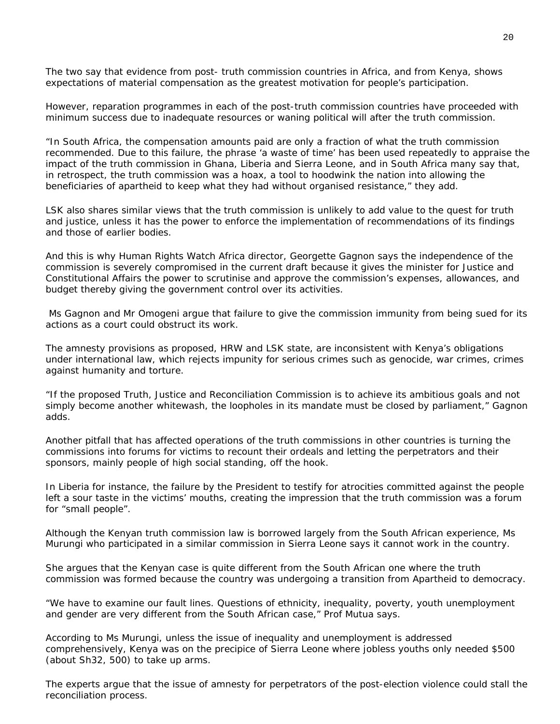The two say that evidence from post- truth commission countries in Africa, and from Kenya, shows expectations of material compensation as the greatest motivation for people's participation.

However, reparation programmes in each of the post-truth commission countries have proceeded with minimum success due to inadequate resources or waning political will after the truth commission.

"In South Africa, the compensation amounts paid are only a fraction of what the truth commission recommended. Due to this failure, the phrase 'a waste of time' has been used repeatedly to appraise the impact of the truth commission in Ghana, Liberia and Sierra Leone, and in South Africa many say that, in retrospect, the truth commission was a hoax, a tool to hoodwink the nation into allowing the beneficiaries of apartheid to keep what they had without organised resistance," they add.

LSK also shares similar views that the truth commission is unlikely to add value to the quest for truth and justice, unless it has the power to enforce the implementation of recommendations of its findings and those of earlier bodies.

And this is why Human Rights Watch Africa director, Georgette Gagnon says the independence of the commission is severely compromised in the current draft because it gives the minister for Justice and Constitutional Affairs the power to scrutinise and approve the commission's expenses, allowances, and budget thereby giving the government control over its activities.

 Ms Gagnon and Mr Omogeni argue that failure to give the commission immunity from being sued for its actions as a court could obstruct its work.

The amnesty provisions as proposed, HRW and LSK state, are inconsistent with Kenya's obligations under international law, which rejects impunity for serious crimes such as genocide, war crimes, crimes against humanity and torture.

"If the proposed Truth, Justice and Reconciliation Commission is to achieve its ambitious goals and not simply become another whitewash, the loopholes in its mandate must be closed by parliament," Gagnon adds.

Another pitfall that has affected operations of the truth commissions in other countries is turning the commissions into forums for victims to recount their ordeals and letting the perpetrators and their sponsors, mainly people of high social standing, off the hook.

In Liberia for instance, the failure by the President to testify for atrocities committed against the people left a sour taste in the victims' mouths, creating the impression that the truth commission was a forum for "small people".

Although the Kenyan truth commission law is borrowed largely from the South African experience, Ms Murungi who participated in a similar commission in Sierra Leone says it cannot work in the country.

She argues that the Kenyan case is quite different from the South African one where the truth commission was formed because the country was undergoing a transition from Apartheid to democracy.

"We have to examine our fault lines. Questions of ethnicity, inequality, poverty, youth unemployment and gender are very different from the South African case," Prof Mutua says.

According to Ms Murungi, unless the issue of inequality and unemployment is addressed comprehensively, Kenya was on the precipice of Sierra Leone where jobless youths only needed \$500 (about Sh32, 500) to take up arms.

The experts argue that the issue of amnesty for perpetrators of the post-election violence could stall the reconciliation process.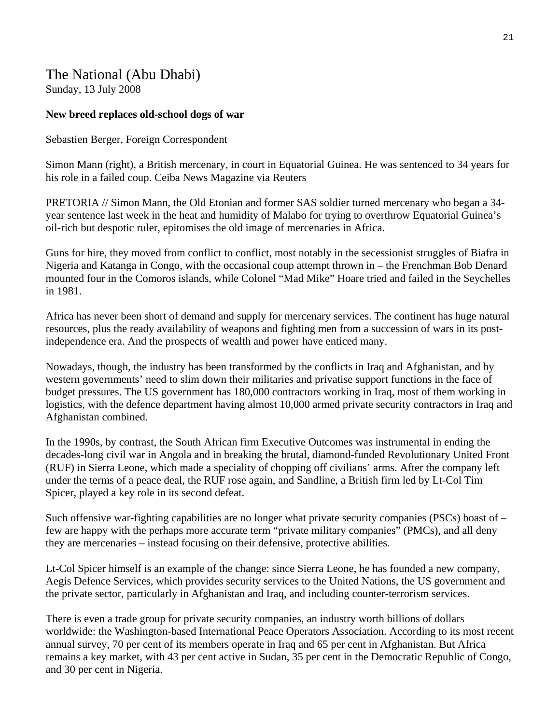# The National (Abu Dhabi) Sunday, 13 July 2008

## **New breed replaces old-school dogs of war**

Sebastien Berger, Foreign Correspondent

Simon Mann (right), a British mercenary, in court in Equatorial Guinea. He was sentenced to 34 years for his role in a failed coup. Ceiba News Magazine via Reuters

PRETORIA // Simon Mann, the Old Etonian and former SAS soldier turned mercenary who began a 34 year sentence last week in the heat and humidity of Malabo for trying to overthrow Equatorial Guinea's oil-rich but despotic ruler, epitomises the old image of mercenaries in Africa.

Guns for hire, they moved from conflict to conflict, most notably in the secessionist struggles of Biafra in Nigeria and Katanga in Congo, with the occasional coup attempt thrown in – the Frenchman Bob Denard mounted four in the Comoros islands, while Colonel "Mad Mike" Hoare tried and failed in the Seychelles in 1981.

Africa has never been short of demand and supply for mercenary services. The continent has huge natural resources, plus the ready availability of weapons and fighting men from a succession of wars in its postindependence era. And the prospects of wealth and power have enticed many.

Nowadays, though, the industry has been transformed by the conflicts in Iraq and Afghanistan, and by western governments' need to slim down their militaries and privatise support functions in the face of budget pressures. The US government has 180,000 contractors working in Iraq, most of them working in logistics, with the defence department having almost 10,000 armed private security contractors in Iraq and Afghanistan combined.

In the 1990s, by contrast, the South African firm Executive Outcomes was instrumental in ending the decades-long civil war in Angola and in breaking the brutal, diamond-funded Revolutionary United Front (RUF) in Sierra Leone, which made a speciality of chopping off civilians' arms. After the company left under the terms of a peace deal, the RUF rose again, and Sandline, a British firm led by Lt-Col Tim Spicer, played a key role in its second defeat.

Such offensive war-fighting capabilities are no longer what private security companies (PSCs) boast of – few are happy with the perhaps more accurate term "private military companies" (PMCs), and all deny they are mercenaries – instead focusing on their defensive, protective abilities.

Lt-Col Spicer himself is an example of the change: since Sierra Leone, he has founded a new company, Aegis Defence Services, which provides security services to the United Nations, the US government and the private sector, particularly in Afghanistan and Iraq, and including counter-terrorism services.

There is even a trade group for private security companies, an industry worth billions of dollars worldwide: the Washington-based International Peace Operators Association. According to its most recent annual survey, 70 per cent of its members operate in Iraq and 65 per cent in Afghanistan. But Africa remains a key market, with 43 per cent active in Sudan, 35 per cent in the Democratic Republic of Congo, and 30 per cent in Nigeria.